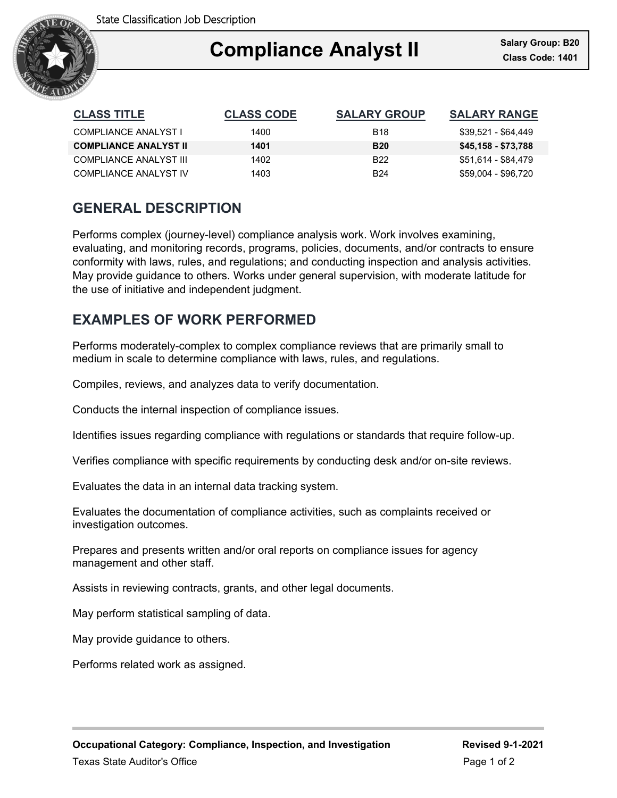

### Ξ **Compliance Analyst II**

| <b>CLASS TITLE</b>           | <b>CLASS CODE</b> | <b>SALARY GROUP</b> | <b>SALARY RANGE</b> |
|------------------------------|-------------------|---------------------|---------------------|
| COMPLIANCE ANALYST I         | 1400              | <b>B18</b>          | \$39.521 - \$64.449 |
| <b>COMPLIANCE ANALYST II</b> | 1401              | <b>B20</b>          | \$45,158 - \$73,788 |
| COMPLIANCE ANALYST III       | 1402              | B <sub>22</sub>     | \$51,614 - \$84,479 |
| COMPLIANCE ANALYST IV        | 1403              | <b>B24</b>          | \$59,004 - \$96,720 |

# **GENERAL DESCRIPTION**

Performs complex (journey-level) compliance analysis work. Work involves examining, evaluating, and monitoring records, programs, policies, documents, and/or contracts to ensure conformity with laws, rules, and regulations; and conducting inspection and analysis activities. May provide guidance to others. Works under general supervision, with moderate latitude for the use of initiative and independent judgment.

# **EXAMPLES OF WORK PERFORMED**

Performs moderately-complex to complex compliance reviews that are primarily small to medium in scale to determine compliance with laws, rules, and regulations.

Compiles, reviews, and analyzes data to verify documentation.

Conducts the internal inspection of compliance issues.

Identifies issues regarding compliance with regulations or standards that require follow-up.

Verifies compliance with specific requirements by conducting desk and/or on-site reviews.

Evaluates the data in an internal data tracking system.

Evaluates the documentation of compliance activities, such as complaints received or investigation outcomes.

Prepares and presents written and/or oral reports on compliance issues for agency management and other staff.

Assists in reviewing contracts, grants, and other legal documents.

May perform statistical sampling of data.

May provide guidance to others.

Performs related work as assigned.